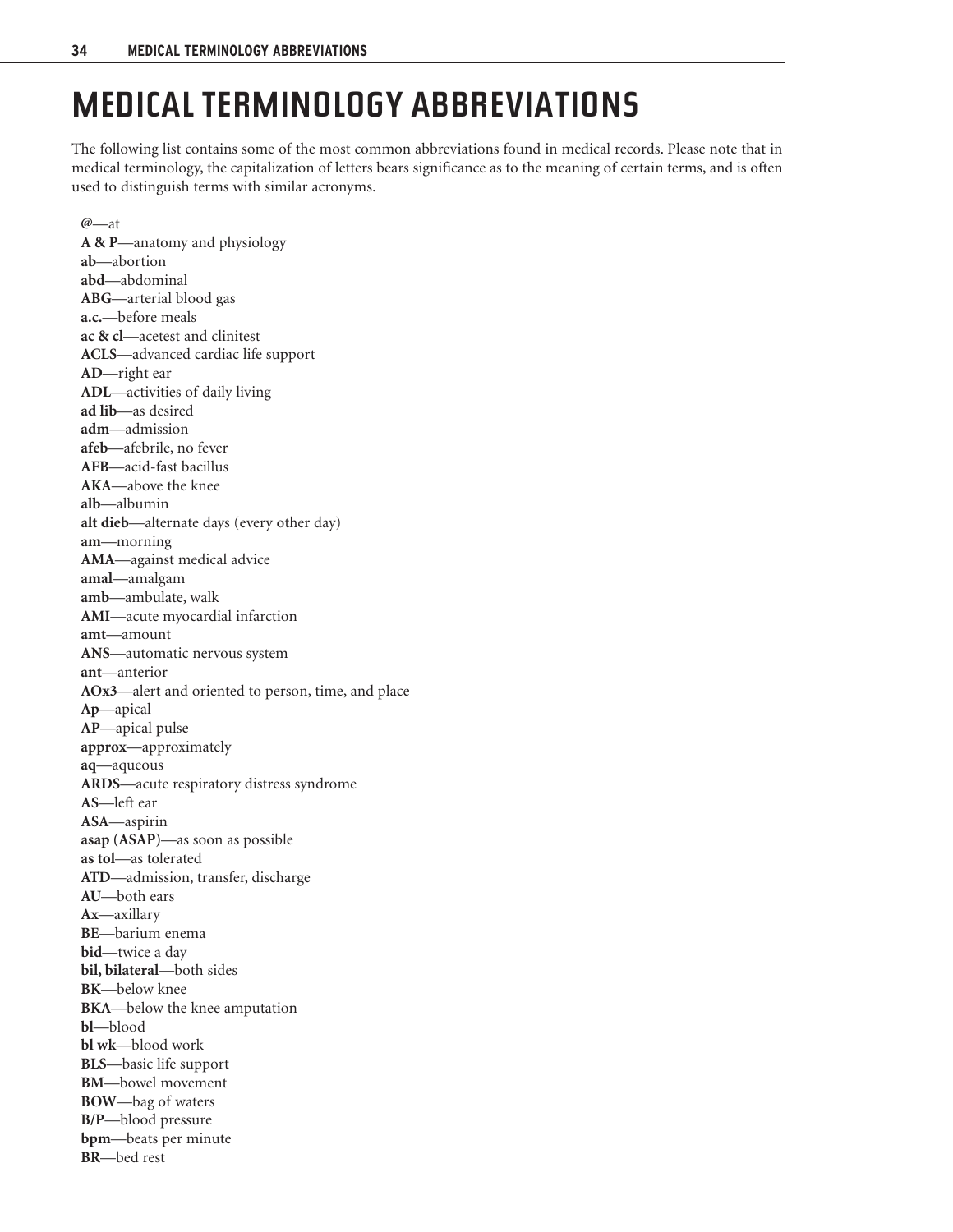## **MEDICAL TERMINOLOGY ABBREVIATIONS**

The following list contains some of the most common abbreviations found in medical records. Please note that in medical terminology, the capitalization of letters bears significance as to the meaning of certain terms, and is often used to distinguish terms with similar acronyms.

**@**—at **A & P**—anatomy and physiology **ab**—abortion **abd**—abdominal **ABG**—arterial blood gas **a.c.**—before meals **ac & cl**—acetest and clinitest **ACLS**—advanced cardiac life support **AD**—right ear **ADL**—activities of daily living **ad lib**—as desired **adm**—admission **afeb**—afebrile, no fever **AFB**—acid-fast bacillus **AKA**—above the knee **alb**—albumin **alt dieb**—alternate days (every other day) **am**—morning **AMA**—against medical advice **amal**—amalgam **amb**—ambulate, walk **AMI**—acute myocardial infarction **amt**—amount **ANS**—automatic nervous system **ant**—anterior **AOx3**—alert and oriented to person, time, and place **Ap**—apical **AP**—apical pulse **approx**—approximately **aq**—aqueous **ARDS**—acute respiratory distress syndrome **AS**—left ear **ASA**—aspirin **asap (ASAP)**—as soon as possible **as tol**—as tolerated **ATD**—admission, transfer, discharge **AU**—both ears **Ax**—axillary **BE**—barium enema **bid**—twice a day **bil, bilateral**—both sides **BK**—below knee **BKA**—below the knee amputation **bl**—blood **bl wk**—blood work **BLS**—basic life support **BM**—bowel movement **BOW**—bag of waters **B/P**—blood pressure **bpm**—beats per minute **BR**—bed rest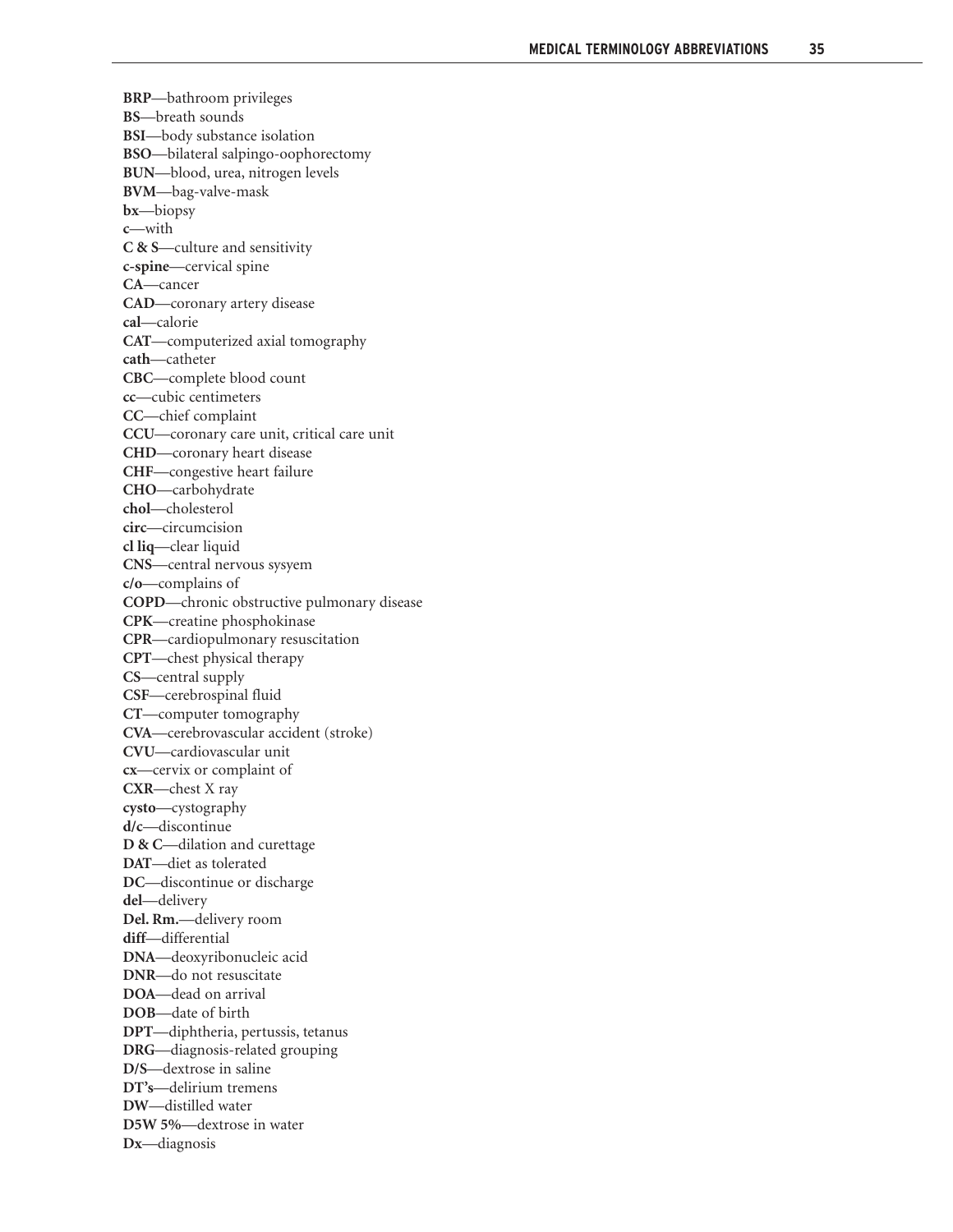**BRP**—bathroom privileges **BS**—breath sounds **BSI**—body substance isolation **BSO**—bilateral salpingo-oophorectomy **BUN**—blood, urea, nitrogen levels **BVM**—bag-valve-mask **bx**—biopsy **c**—with **C & S**—culture and sensitivity **c-spine**—cervical spine **CA**—cancer **CAD**—coronary artery disease **cal**—calorie **CAT**—computerized axial tomography **cath**—catheter **CBC**—complete blood count **cc**—cubic centimeters **CC**—chief complaint **CCU**—coronary care unit, critical care unit **CHD**—coronary heart disease **CHF**—congestive heart failure **CHO**—carbohydrate **chol**—cholesterol **circ**—circumcision **cl liq**—clear liquid **CNS**—central nervous sysyem **c/o**—complains of **COPD**—chronic obstructive pulmonary disease **CPK**—creatine phosphokinase **CPR**—cardiopulmonary resuscitation **CPT**—chest physical therapy **CS**—central supply **CSF**—cerebrospinal fluid **CT**—computer tomography **CVA**—cerebrovascular accident (stroke) **CVU**—cardiovascular unit **cx**—cervix or complaint of **CXR**—chest X ray **cysto**—cystography **d/c**—discontinue **D & C**—dilation and curettage **DAT**—diet as tolerated **DC**—discontinue or discharge **del**—delivery **Del. Rm.**—delivery room **diff**—differential **DNA**—deoxyribonucleic acid **DNR**—do not resuscitate **DOA**—dead on arrival **DOB**—date of birth **DPT**—diphtheria, pertussis, tetanus **DRG**—diagnosis-related grouping **D/S**—dextrose in saline **DT's**—delirium tremens **DW**—distilled water **D5W 5%**—dextrose in water **Dx**—diagnosis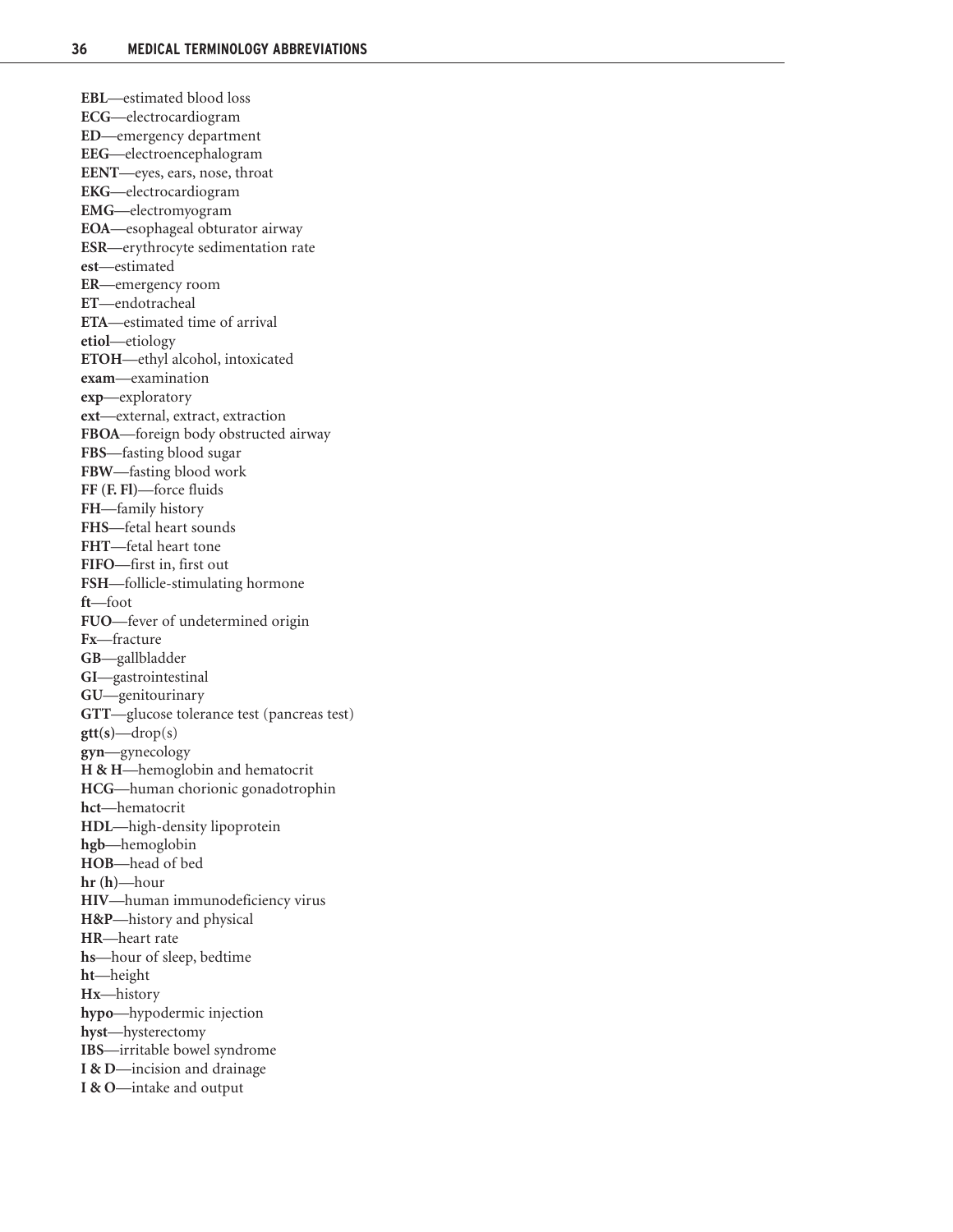**EBL**—estimated blood loss **ECG**—electrocardiogram **ED**—emergency department **EEG**—electroencephalogram **EENT**—eyes, ears, nose, throat **EKG**—electrocardiogram **EMG**—electromyogram **EOA**—esophageal obturator airway **ESR**—erythrocyte sedimentation rate **est**—estimated **ER**—emergency room **ET**—endotracheal **ETA**—estimated time of arrival **etiol**—etiology **ETOH**—ethyl alcohol, intoxicated **exam**—examination **exp**—exploratory **ext**—external, extract, extraction **FBOA**—foreign body obstructed airway **FBS**—fasting blood sugar **FBW**—fasting blood work **FF (F. Fl)**—force fluids **FH**—family history **FHS**—fetal heart sounds **FHT**—fetal heart tone **FIFO**—first in, first out **FSH**—follicle-stimulating hormone **ft**—foot **FUO**—fever of undetermined origin **Fx**—fracture **GB**—gallbladder **GI**—gastrointestinal **GU**—genitourinary **GTT**—glucose tolerance test (pancreas test) **gtt(s)**—drop(s) **gyn**—gynecology **H & H**—hemoglobin and hematocrit **HCG**—human chorionic gonadotrophin **hct**—hematocrit **HDL**—high-density lipoprotein **hgb**—hemoglobin **HOB**—head of bed **hr (h)**—hour **HIV**—human immunodeficiency virus **H&P**—history and physical **HR**—heart rate **hs**—hour of sleep, bedtime **ht**—height **Hx**—history **hypo**—hypodermic injection **hyst**—hysterectomy **IBS**—irritable bowel syndrome **I & D**—incision and drainage **I & O**—intake and output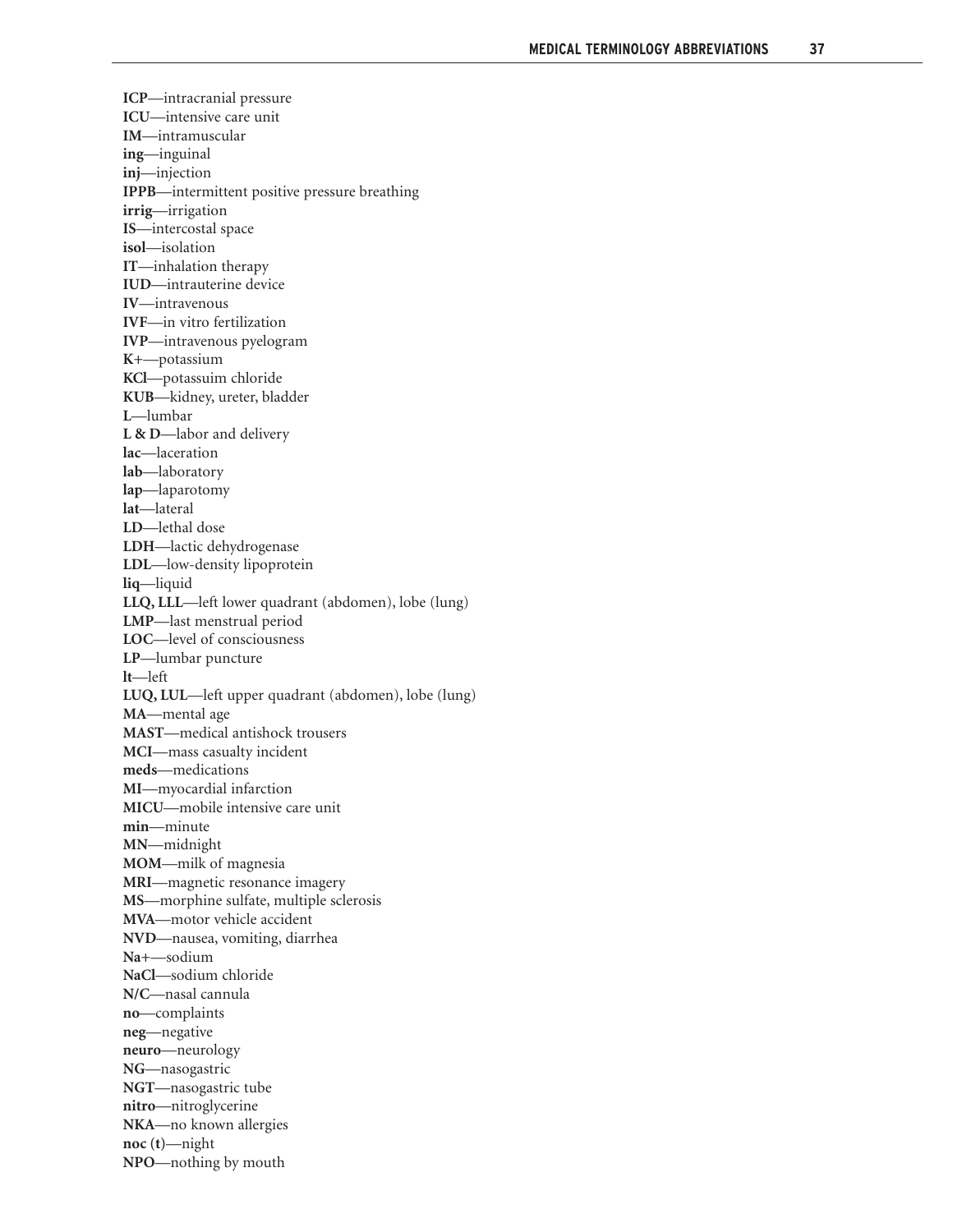**ICP**—intracranial pressure **ICU**—intensive care unit **IM**—intramuscular **ing**—inguinal **inj**—injection **IPPB**—intermittent positive pressure breathing **irrig**—irrigation **IS**—intercostal space **isol**—isolation **IT**—inhalation therapy **IUD**—intrauterine device **IV**—intravenous **IVF**—in vitro fertilization **IVP**—intravenous pyelogram **K+**—potassium **KCl**—potassuim chloride **KUB**—kidney, ureter, bladder **L**—lumbar **L & D**—labor and delivery **lac**—laceration **lab**—laboratory **lap**—laparotomy **lat**—lateral **LD**—lethal dose **LDH**—lactic dehydrogenase **LDL**—low-density lipoprotein **liq**—liquid **LLQ, LLL**—left lower quadrant (abdomen), lobe (lung) **LMP**—last menstrual period **LOC**—level of consciousness **LP**—lumbar puncture **lt**—left **LUQ, LUL**—left upper quadrant (abdomen), lobe (lung) **MA**—mental age **MAST**—medical antishock trousers **MCI**—mass casualty incident **meds**—medications **MI**—myocardial infarction **MICU**—mobile intensive care unit **min**—minute **MN**—midnight **MOM**—milk of magnesia **MRI**—magnetic resonance imagery **MS**—morphine sulfate, multiple sclerosis **MVA**—motor vehicle accident **NVD**—nausea, vomiting, diarrhea **Na+**—sodium **NaCl**—sodium chloride **N/C**—nasal cannula **no**—complaints **neg**—negative **neuro**—neurology **NG**—nasogastric **NGT**—nasogastric tube **nitro**—nitroglycerine **NKA**—no known allergies **noc (t)**—night **NPO**—nothing by mouth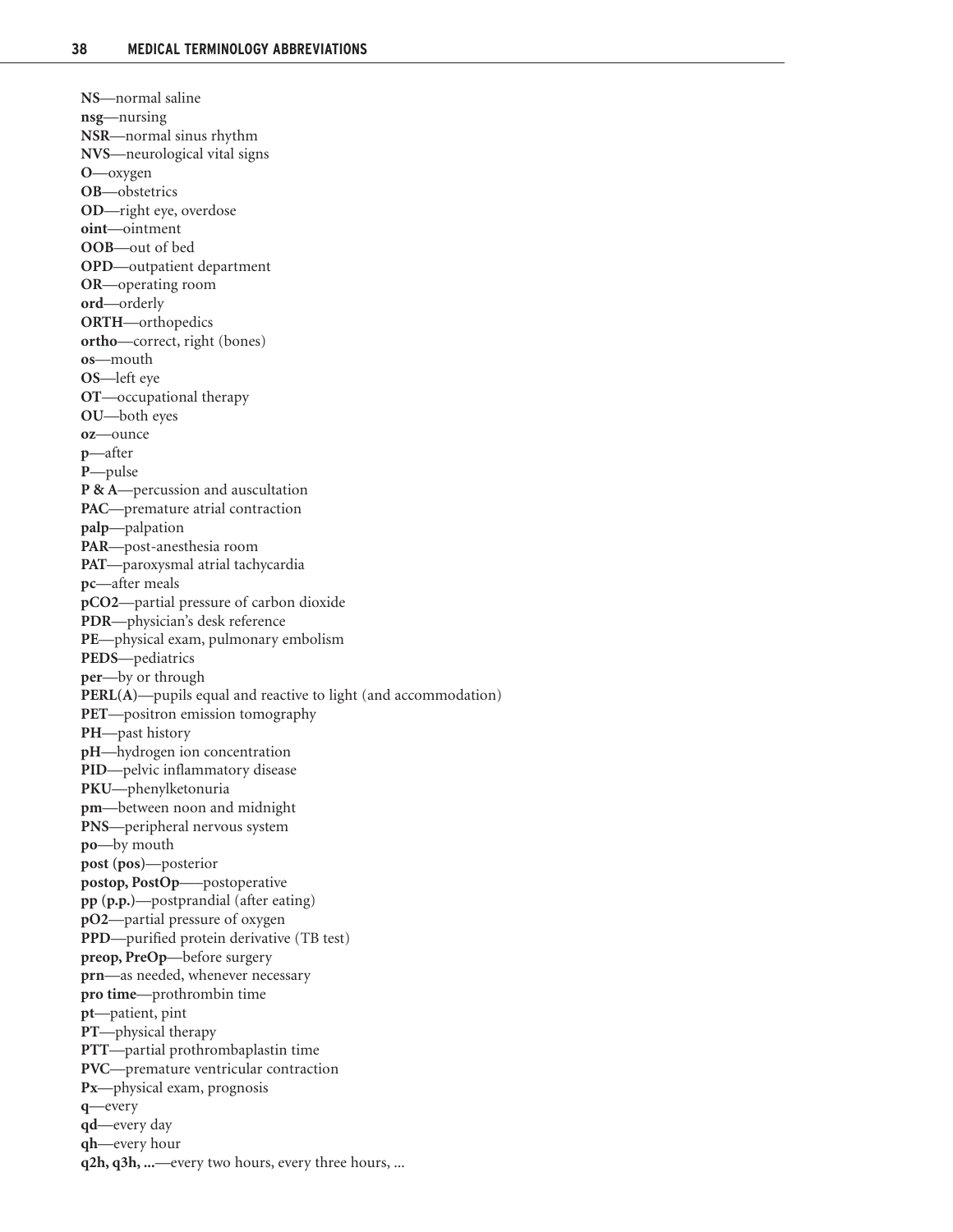**NS**—normal saline **nsg**—nursing **NSR**—normal sinus rhythm **NVS**—neurological vital signs **O**—oxygen **OB**—obstetrics **OD**—right eye, overdose **oint**—ointment **OOB**—out of bed **OPD**—outpatient department **OR**—operating room **ord**—orderly **ORTH**—orthopedics **ortho**—correct, right (bones) **os**—mouth **OS**—left eye **OT**—occupational therapy **OU**—both eyes **oz**—ounce **p**—after **P**—pulse **P & A**—percussion and auscultation **PAC**—premature atrial contraction **palp**—palpation **PAR**—post-anesthesia room **PAT**—paroxysmal atrial tachycardia **pc**—after meals **pCO2**—partial pressure of carbon dioxide **PDR**—physician's desk reference **PE**—physical exam, pulmonary embolism **PEDS**—pediatrics **per**—by or through **PERL(A)**—pupils equal and reactive to light (and accommodation) **PET**—positron emission tomography **PH**—past history **pH**—hydrogen ion concentration **PID**—pelvic inflammatory disease **PKU**—phenylketonuria **pm**—between noon and midnight **PNS**—peripheral nervous system **po**—by mouth **post (pos)**—posterior **postop, PostOp**—–postoperative **pp (p.p.)**—postprandial (after eating) **pO2**—partial pressure of oxygen **PPD**—purified protein derivative (TB test) **preop, PreOp**—before surgery **prn**—as needed, whenever necessary **pro time**—prothrombin time **pt**—patient, pint **PT**—physical therapy **PTT**—partial prothrombaplastin time **PVC**—premature ventricular contraction **Px**—physical exam, prognosis **q**—every **qd**—every day **qh**—every hour **q2h, q3h, ...**—every two hours, every three hours, ...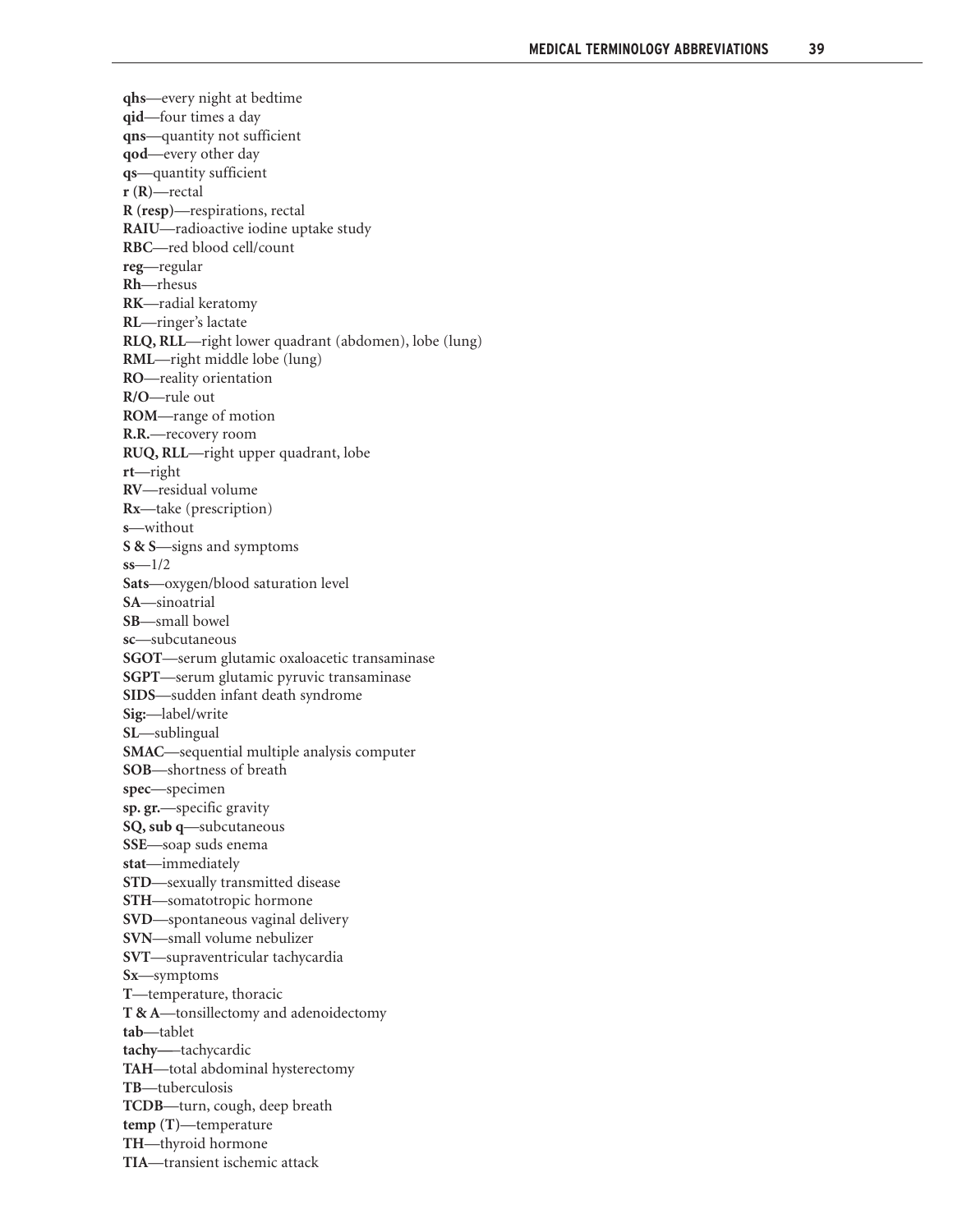**qhs**—every night at bedtime **qid**—four times a day **qns**—quantity not sufficient **qod**—every other day **qs**—quantity sufficient **r (R)**—rectal **R (resp)**—respirations, rectal **RAIU**—radioactive iodine uptake study **RBC**—red blood cell/count **reg**—regular **Rh**—rhesus **RK**—radial keratomy **RL**—ringer's lactate **RLQ, RLL**—right lower quadrant (abdomen), lobe (lung) **RML**—right middle lobe (lung) **RO**—reality orientation **R/O**—rule out **ROM**—range of motion **R.R.**—recovery room **RUQ, RLL**—right upper quadrant, lobe **rt**—right **RV**—residual volume **Rx**—take (prescription) **s**—without **S & S**—signs and symptoms **ss**—1/2 **Sats**—oxygen/blood saturation level **SA**—sinoatrial **SB**—small bowel **sc**—subcutaneous **SGOT**—serum glutamic oxaloacetic transaminase **SGPT**—serum glutamic pyruvic transaminase **SIDS**—sudden infant death syndrome **Sig:**—label/write **SL**—sublingual **SMAC**—sequential multiple analysis computer **SOB**—shortness of breath **spec**—specimen **sp. gr.**—specific gravity **SQ, sub q**—subcutaneous **SSE**—soap suds enema **stat**—immediately **STD**—sexually transmitted disease **STH**—somatotropic hormone **SVD**—spontaneous vaginal delivery **SVN**—small volume nebulizer **SVT**—supraventricular tachycardia **Sx**—symptoms **T**—temperature, thoracic **T & A**—tonsillectomy and adenoidectomy **tab**—tablet **tachy—**–tachycardic **TAH**—total abdominal hysterectomy **TB**—tuberculosis **TCDB**—turn, cough, deep breath **temp (T)**—temperature **TH**—thyroid hormone **TIA**—transient ischemic attack